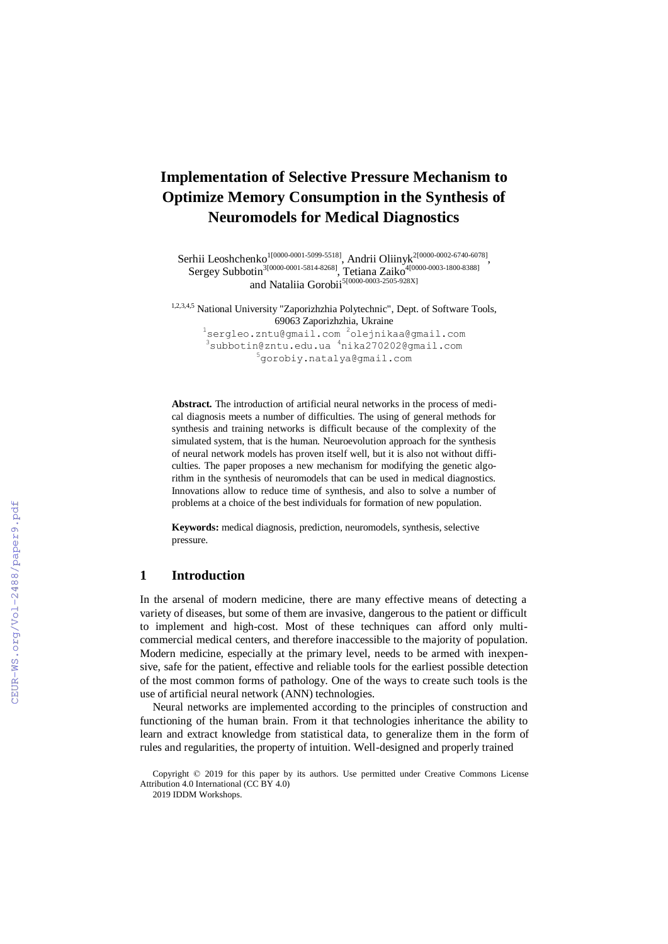# **Implementation of Selective Pressure Mechanism to Optimize Memory Consumption in the Synthesis of Neuromodels for Medical Diagnostics**

Serhii Leoshchenko<sup>1[0000-0001-5099-5518]</sup>, Andrii Oliinyk<sup>2[0000-0002-6740-6078]</sup>, Sergey Subbotin<sup>3[0000-0001-5814-8268]</sup>, Tetiana Zaiko<sup>4</sup><sup>[0000-0003-1800-8388]</sup> and Nataliia Gorobii 5[0000-0003-2505-928X]

1,2,3,4,5 National University "Zaporizhzhia Polytechnic", Dept. of Software Tools, 69063 Zaporizhzhia, Ukraine

> <sup>1</sup>[sergleo.zntu@gmail.com](mailto:1sergleo.zntu@gmail.com) <sup>2</sup>olejnikaa@gmail.com <sup>3</sup>[subbotin@zntu.edu.ua](mailto:subbotin@zntu.edu.ua) [4](mailto:4)nika270202@gmail.com <sup>5</sup>gorobiy.natalya@gmail.com

**Abstract.** The introduction of artificial neural networks in the process of medical diagnosis meets a number of difficulties. The using of general methods for synthesis and training networks is difficult because of the complexity of the simulated system, that is the human. Neuroevolution approach for the synthesis of neural network models has proven itself well, but it is also not without difficulties. The paper proposes a new mechanism for modifying the genetic algorithm in the synthesis of neuromodels that can be used in medical diagnostics. Innovations allow to reduce time of synthesis, and also to solve a number of problems at a choice of the best individuals for formation of new population.

**Keywords:** medical diagnosis, prediction, neuromodels, synthesis, selective pressure.

#### **1 Introduction**

In the arsenal of modern medicine, there are many effective means of detecting a variety of diseases, but some of them are invasive, dangerous to the patient or difficult to implement and high-cost. Most of these techniques can afford only multicommercial medical centers, and therefore inaccessible to the majority of population. Modern medicine, especially at the primary level, needs to be armed with inexpensive, safe for the patient, effective and reliable tools for the earliest possible detection of the most common forms of pathology. One of the ways to create such tools is the use of artificial neural network (ANN) technologies.

Neural networks are implemented according to the principles of construction and functioning of the human brain. From it that technologies inheritance the ability to learn and extract knowledge from statistical data, to generalize them in the form of rules and regularities, the property of intuition. Well-designed and properly trained

Copyright © 2019 for this paper by its authors. Use permitted under Creative Commons License Attribution 4.0 International (CC BY 4.0)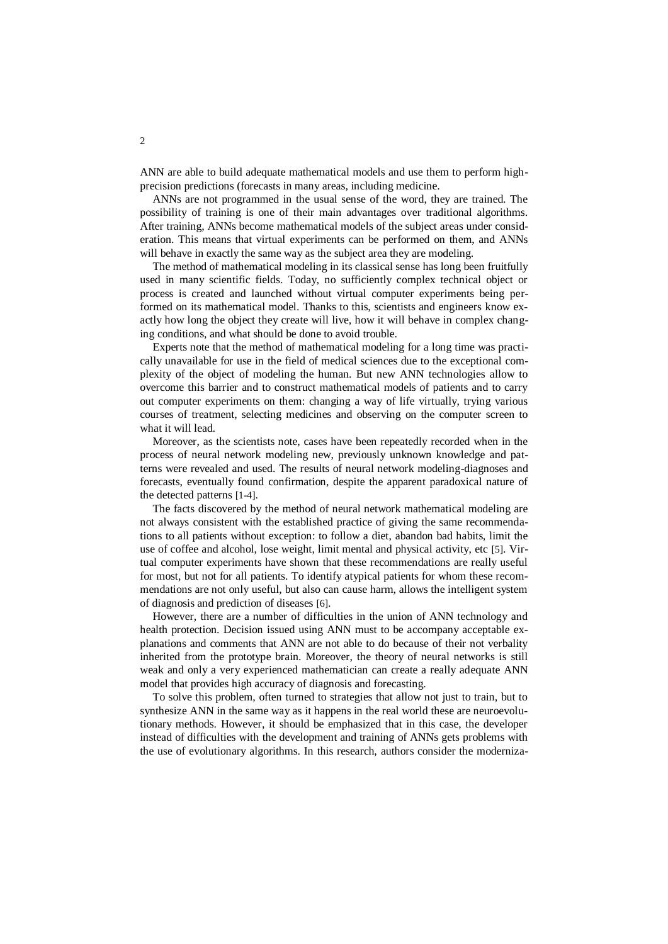ANN are able to build adequate mathematical models and use them to perform highprecision predictions (forecasts in many areas, including medicine.

ANNs are not programmed in the usual sense of the word, they are trained. The possibility of training is one of their main advantages over traditional algorithms. After training, ANNs become mathematical models of the subject areas under consideration. This means that virtual experiments can be performed on them, and ANNs will behave in exactly the same way as the subject area they are modeling.

The method of mathematical modeling in its classical sense has long been fruitfully used in many scientific fields. Today, no sufficiently complex technical object or process is created and launched without virtual computer experiments being performed on its mathematical model. Thanks to this, scientists and engineers know exactly how long the object they create will live, how it will behave in complex changing conditions, and what should be done to avoid trouble.

Experts note that the method of mathematical modeling for a long time was practically unavailable for use in the field of medical sciences due to the exceptional complexity of the object of modeling the human. But new ANN technologies allow to overcome this barrier and to construct mathematical models of patients and to carry out computer experiments on them: changing a way of life virtually, trying various courses of treatment, selecting medicines and observing on the computer screen to what it will lead.

Moreover, as the scientists note, cases have been repeatedly recorded when in the process of neural network modeling new, previously unknown knowledge and patterns were revealed and used. The results of neural network modeling-diagnoses and forecasts, eventually found confirmation, despite the apparent paradoxical nature of the detected patterns [1-4].

The facts discovered by the method of neural network mathematical modeling are not always consistent with the established practice of giving the same recommendations to all patients without exception: to follow a diet, abandon bad habits, limit the use of coffee and alcohol, lose weight, limit mental and physical activity, etc [5]. Virtual computer experiments have shown that these recommendations are really useful for most, but not for all patients. To identify atypical patients for whom these recommendations are not only useful, but also can cause harm, allows the intelligent system of diagnosis and prediction of diseases [6].

However, there are a number of difficulties in the union of ANN technology and health protection. Decision issued using ANN must to be accompany acceptable explanations and comments that ANN are not able to do because of their not verbality inherited from the prototype brain. Moreover, the theory of neural networks is still weak and only a very experienced mathematician can create a really adequate ANN model that provides high accuracy of diagnosis and forecasting.

To solve this problem, often turned to strategies that allow not just to train, but to synthesize ANN in the same way as it happens in the real world these are neuroevolutionary methods. However, it should be emphasized that in this case, the developer instead of difficulties with the development and training of ANNs gets problems with the use of evolutionary algorithms. In this research, authors consider the moderniza-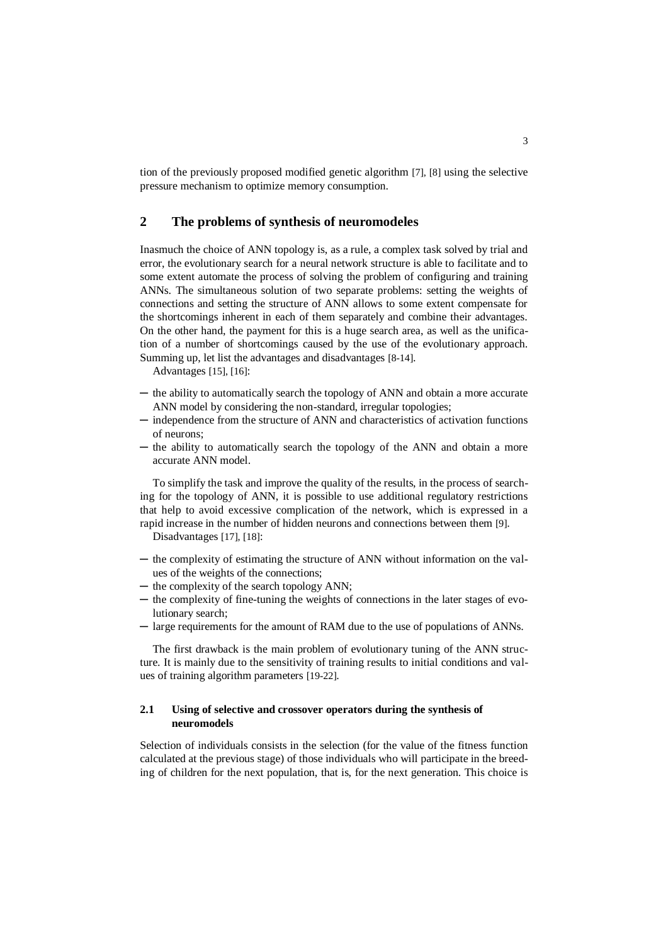tion of the previously proposed modified genetic algorithm [7], [8] using the selective pressure mechanism to optimize memory consumption.

## **2 The problems of synthesis of neuromodeles**

Inasmuch the choice of ANN topology is, as a rule, a complex task solved by trial and error, the evolutionary search for a neural network structure is able to facilitate and to some extent automate the process of solving the problem of configuring and training ANNs. The simultaneous solution of two separate problems: setting the weights of connections and setting the structure of ANN allows to some extent compensate for the shortcomings inherent in each of them separately and combine their advantages. On the other hand, the payment for this is a huge search area, as well as the unification of a number of shortcomings caused by the use of the evolutionary approach. Summing up, let list the advantages and disadvantages [8-14].

Advantages [15], [16]:

- ─ the ability to automatically search the topology of ANN and obtain a more accurate ANN model by considering the non-standard, irregular topologies;
- ─ independence from the structure of ANN and characteristics of activation functions of neurons;
- ─ the ability to automatically search the topology of the ANN and obtain a more accurate ANN model.

To simplify the task and improve the quality of the results, in the process of searching for the topology of ANN, it is possible to use additional regulatory restrictions that help to avoid excessive complication of the network, which is expressed in a rapid increase in the number of hidden neurons and connections between them [9].

Disadvantages [17], [18]:

- ─ the complexity of estimating the structure of ANN without information on the values of the weights of the connections;
- ─ the complexity of the search topology ANN;
- the complexity of fine-tuning the weights of connections in the later stages of evolutionary search;
- ─ large requirements for the amount of RAM due to the use of populations of ANNs.

The first drawback is the main problem of evolutionary tuning of the ANN structure. It is mainly due to the sensitivity of training results to initial conditions and values of training algorithm parameters [19-22].

#### **2.1 Using of selective and crossover operators during the synthesis of neuromodels**

Selection of individuals consists in the selection (for the value of the fitness function calculated at the previous stage) of those individuals who will participate in the breeding of children for the next population, that is, for the next generation. This choice is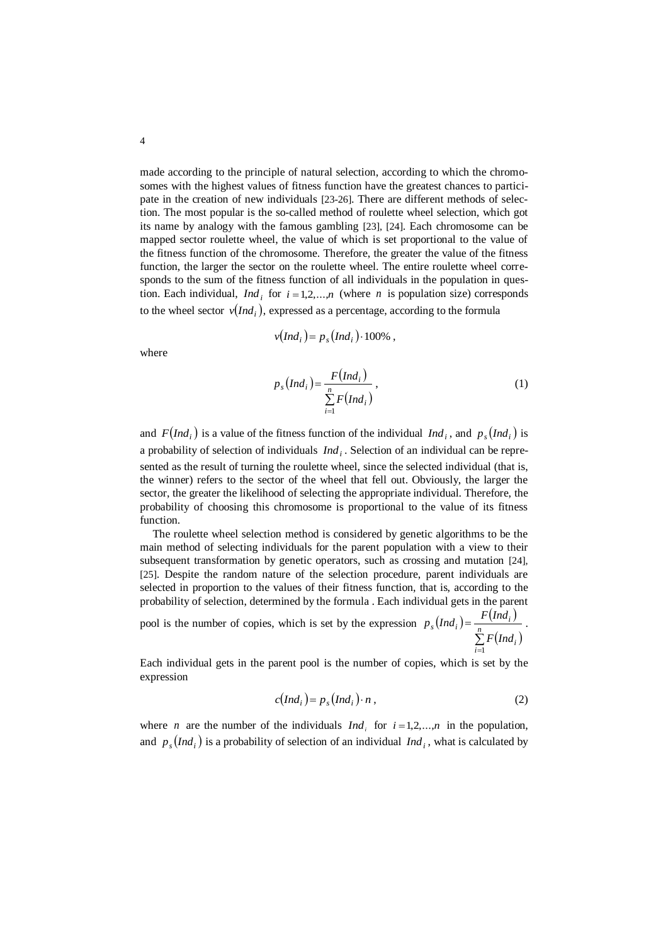made according to the principle of natural selection, according to which the chromosomes with the highest values of fitness function have the greatest chances to participate in the creation of new individuals [23-26]. There are different methods of selection. The most popular is the so-called method of roulette wheel selection, which got its name by analogy with the famous gambling [23], [24]. Each chromosome can be mapped sector roulette wheel, the value of which is set proportional to the value of the fitness function of the chromosome. Therefore, the greater the value of the fitness function, the larger the sector on the roulette wheel. The entire roulette wheel corresponds to the sum of the fitness function of all individuals in the population in question. Each individual,  $Ind_i$  for  $i = 1,2,...,n$  (where *n* is population size) corresponds to the wheel sector  $v(Ind<sub>i</sub>)$ , expressed as a percentage, according to the formula

$$
v(Indi) = ps(Indi) \cdot 100\%
$$
,

where

$$
p_s(Ind_i) = \frac{F(Ind_i)}{\sum_{i=1}^n F(Ind_i)},
$$
\n(1)

and  $F(Ind_i)$  is a value of the fitness function of the individual  $Ind_i$ , and  $p_s(Ind_i)$  is a probability of selection of individuals  $Ind_i$ . Selection of an individual can be represented as the result of turning the roulette wheel, since the selected individual (that is, the winner) refers to the sector of the wheel that fell out. Obviously, the larger the sector, the greater the likelihood of selecting the appropriate individual. Therefore, the probability of choosing this chromosome is proportional to the value of its fitness function.

The roulette wheel selection method is considered by genetic algorithms to be the main method of selecting individuals for the parent population with a view to their subsequent transformation by genetic operators, such as crossing and mutation [24], [25]. Despite the random nature of the selection procedure, parent individuals are selected in proportion to the values of their fitness function, that is, according to the probability of selection, determined by the formula . Each individual gets in the parent

pool is the number of copies, which is set by the expression  $p_s(Ind_i) = \frac{F(Ind_i)}{g_i}$  $\sum F(Ind_i)$  $=$  $=\frac{1}{n}$ *i i*  $\sum_i$   $\left( \text{Ind}_i \right) = \frac{F \left( \text{Ind}_i \right)}{n}$ *F Ind*  $p_s(Ind_i) = \frac{F(Ind_i)}{g_i}$ . 1

Each individual gets in the parent pool is the number of copies, which is set by the expression

$$
c(Indi) = ps(Indi) \cdot n , \qquad (2)
$$

where *n* are the number of the individuals  $Ind_i$  for  $i = 1, 2, ..., n$  in the population, and  $p_s(Ind_i)$  is a probability of selection of an individual  $Ind_i$ , what is calculated by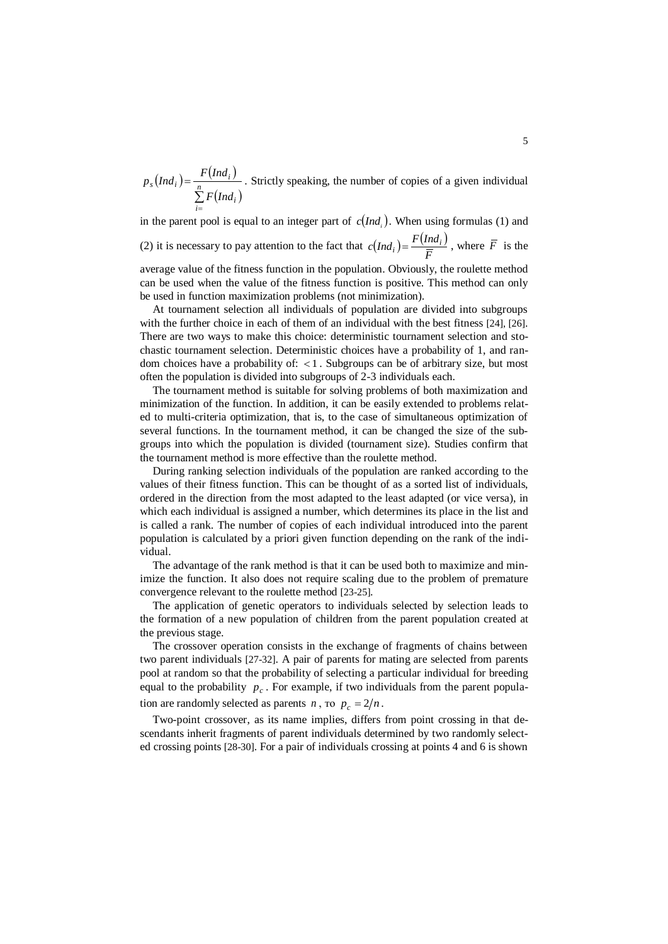$(Ind_i) = \frac{F(Ind_i)}{F(Ind_i)}$  $\sum_{i=1}$   $F(Ind_i)$  $=\frac{1}{n}$  $\sum_{i=1}^{\infty}$ **F**  $\langle I_1, I_2 \rangle$  $\sum_i$   $\left(Ind_i\right) = \frac{F\left(Im_i\right)}{n}$ *F Ind*  $p_s(Ind_i) = \frac{F(Ind_i)}{I_i}$ . Strictly speaking, the number of copies of a given individual

in the parent pool is equal to an integer part of  $c(Ind<sub>i</sub>)$ . When using formulas (1) and

(2) it is necessary to pay attention to the fact that  $c(Ind_i) = \frac{F(Ind_i)}{F(Ind_i)}$ *F*  $c(Ind_i) = \frac{F(Ind_i)}{\overline{F}}$ , where  $\overline{F}$  is the

average value of the fitness function in the population. Obviously, the roulette method can be used when the value of the fitness function is positive. This method can only be used in function maximization problems (not minimization).

At tournament selection all individuals of population are divided into subgroups with the further choice in each of them of an individual with the best fitness [24], [26]. There are two ways to make this choice: deterministic tournament selection and stochastic tournament selection. Deterministic choices have a probability of 1, and random choices have a probability of:  $\lt 1$ . Subgroups can be of arbitrary size, but most often the population is divided into subgroups of 2-3 individuals each.

The tournament method is suitable for solving problems of both maximization and minimization of the function. In addition, it can be easily extended to problems related to multi-criteria optimization, that is, to the case of simultaneous optimization of several functions. In the tournament method, it can be changed the size of the subgroups into which the population is divided (tournament size). Studies confirm that the tournament method is more effective than the roulette method.

During ranking selection individuals of the population are ranked according to the values of their fitness function. This can be thought of as a sorted list of individuals, ordered in the direction from the most adapted to the least adapted (or vice versa), in which each individual is assigned a number, which determines its place in the list and is called a rank. The number of copies of each individual introduced into the parent population is calculated by a priori given function depending on the rank of the individual.

The advantage of the rank method is that it can be used both to maximize and minimize the function. It also does not require scaling due to the problem of premature convergence relevant to the roulette method [23-25].

The application of genetic operators to individuals selected by selection leads to the formation of a new population of children from the parent population created at the previous stage.

The crossover operation consists in the exchange of fragments of chains between two parent individuals [27-32]. A pair of parents for mating are selected from parents pool at random so that the probability of selecting a particular individual for breeding equal to the probability  $p_c$ . For example, if two individuals from the parent population are randomly selected as parents *n*, to  $p_c = 2/n$ .

Two-point crossover, as its name implies, differs from point crossing in that descendants inherit fragments of parent individuals determined by two randomly selected crossing points [28-30]. For a pair of individuals crossing at points 4 and 6 is shown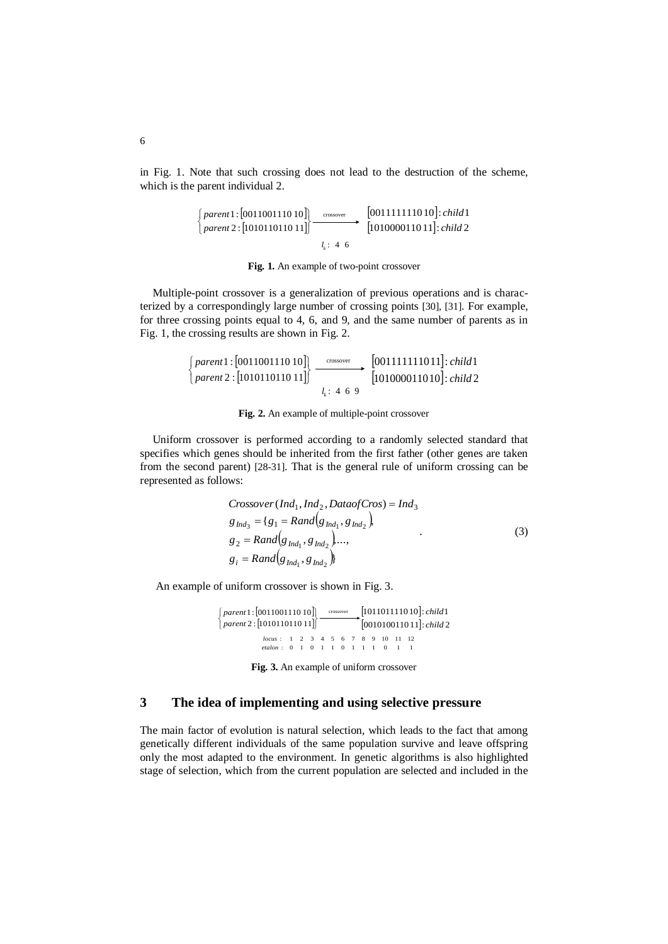in Fig. 1. Note that such crossing does not lead to the destruction of the scheme, which is the parent individual 2.

$$
\left\{\begin{array}{l}\n\text{parent 1: [0011001110 10]}\n\end{array}\right\} \xrightarrow{\text{crossover}} \left\{\begin{array}{l}\n\text{00111111110 10]: child 1} \\
\text{[1010000110 11]: child 2}\n\end{array}\right.
$$

**Fig. 1.** An example of two-point crossover

Multiple-point crossover is a generalization of previous operations and is characterized by a correspondingly large number of crossing points [30], [31]. For example, for three crossing points equal to 4, 6, and 9, and the same number of parents as in Fig. 1, the crossing results are shown in Fig. 2.

$$
\begin{array}{ll}\n\left\{\text{parent1:}\left[001100111010\right]\right\} & \xrightarrow{\text{crossover}} \left[001111111011\right]:\text{child1} \\
\left\{\text{parent2:}\left[101011011011\right]\right\} & \xrightarrow{l_k: 4 \ 6 \ 9} \left[101000011010\right]:\text{child2}\n\end{array}
$$

**Fig. 2.** An example of multiple-point crossover

Uniform crossover is performed according to a randomly selected standard that specifies which genes should be inherited from the first father (other genes are taken from the second parent) [28-31]. That is the general rule of uniform crossing can be represented as follows:

$$
Crossover(Ind_1, Ind_2, DataofCross) = Ind_3
$$
  
\n
$$
g_{Ind_3} = \{g_1 = Rand(g_{Ind_1}, g_{Ind_2}),
$$
  
\n
$$
g_2 = Rand(g_{Ind_1}, g_{Ind_2}),...,
$$
  
\n
$$
g_i = Rand(g_{Ind_1}, g_{Ind_2})
$$
  
\n(3)

An example of uniform crossover is shown in Fig. 3.

 $[001100111010]$   $\circ$  $\frac{[001100111010]}{[101011011011]}$   $\frac{1}{1}$  $\int\limits_{\Gamma} \rho$ are 2 : 1010110110 11  $1: [001100111010]$ *parent* parent 1 :  $[001100111010]$  crossover  $[101101111010]$  : *child*  $[001010011011]:$  child 2  $[101101111010]$ : child 1 *child* crossover [101101111010]: *child* 1 : 0 1 0 1 1 0 1 1 1 0 1 1 *etalon* : 1 2 3 4 5 6 7 8 9 10 11 12 *locus*

**Fig. 3.** An example of uniform crossover

## **3 The idea of implementing and using selective pressure**

The main factor of evolution is natural selection, which leads to the fact that among genetically different individuals of the same population survive and leave offspring only the most adapted to the environment. In genetic algorithms is also highlighted stage of selection, which from the current population are selected and included in the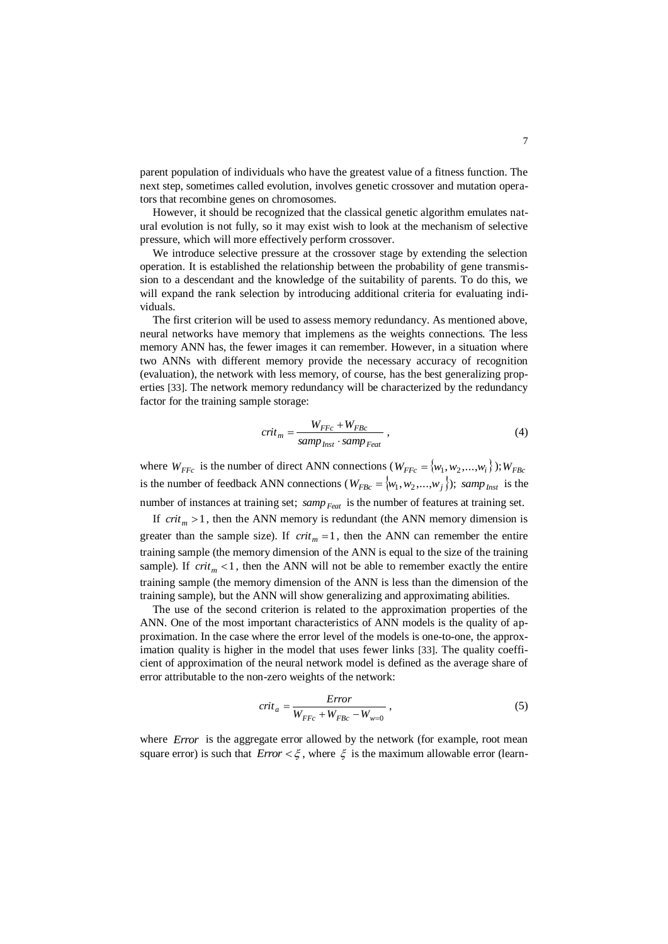parent population of individuals who have the greatest value of a fitness function. The next step, sometimes called evolution, involves genetic crossover and mutation operators that recombine genes on chromosomes.

However, it should be recognized that the classical genetic algorithm emulates natural evolution is not fully, so it may exist wish to look at the mechanism of selective pressure, which will more effectively perform crossover.

We introduce selective pressure at the crossover stage by extending the selection operation. It is established the relationship between the probability of gene transmission to a descendant and the knowledge of the suitability of parents. To do this, we will expand the rank selection by introducing additional criteria for evaluating individuals.

The first criterion will be used to assess memory redundancy. As mentioned above, neural networks have memory that implemens as the weights connections. The less memory ANN has, the fewer images it can remember. However, in a situation where two ANNs with different memory provide the necessary accuracy of recognition (evaluation), the network with less memory, of course, has the best generalizing properties [33]. The network memory redundancy will be characterized by the redundancy factor for the training sample storage:

$$
crit_m = \frac{W_{FFc} + W_{FBc}}{sample_{hst} \cdot samp_{Fedt}},
$$
\n(4)

where  $W_{FFc}$  is the number of direct ANN connections ( $W_{FFc} = \{w_1, w_2, ..., w_i\}$ );  $W_{FBc}$ is the number of feedback ANN connections ( $W_{FBC} = \{w_1, w_2,...,w_j\}$ ); samp<sub>Inst</sub> is the number of instances at training set; *samp*  $_{Feat}$  is the number of features at training set.

If  $crit_m > 1$ , then the ANN memory is redundant (the ANN memory dimension is greater than the sample size). If  $crit_m = 1$ , then the ANN can remember the entire training sample (the memory dimension of the ANN is equal to the size of the training sample). If  $crit<sub>m</sub> < 1$ , then the ANN will not be able to remember exactly the entire training sample (the memory dimension of the ANN is less than the dimension of the training sample), but the ANN will show generalizing and approximating abilities.

The use of the second criterion is related to the approximation properties of the ANN. One of the most important characteristics of ANN models is the quality of approximation. In the case where the error level of the models is one-to-one, the approximation quality is higher in the model that uses fewer links [33]. The quality coefficient of approximation of the neural network model is defined as the average share of error attributable to the non-zero weights of the network:

$$
crit_a = \frac{Error}{W_{FFc} + W_{FBc} - W_{w=0}} \,,\tag{5}
$$

where *Error* is the aggregate error allowed by the network (for example, root mean square error) is such that  $Error < \xi$ , where  $\xi$  is the maximum allowable error (learn-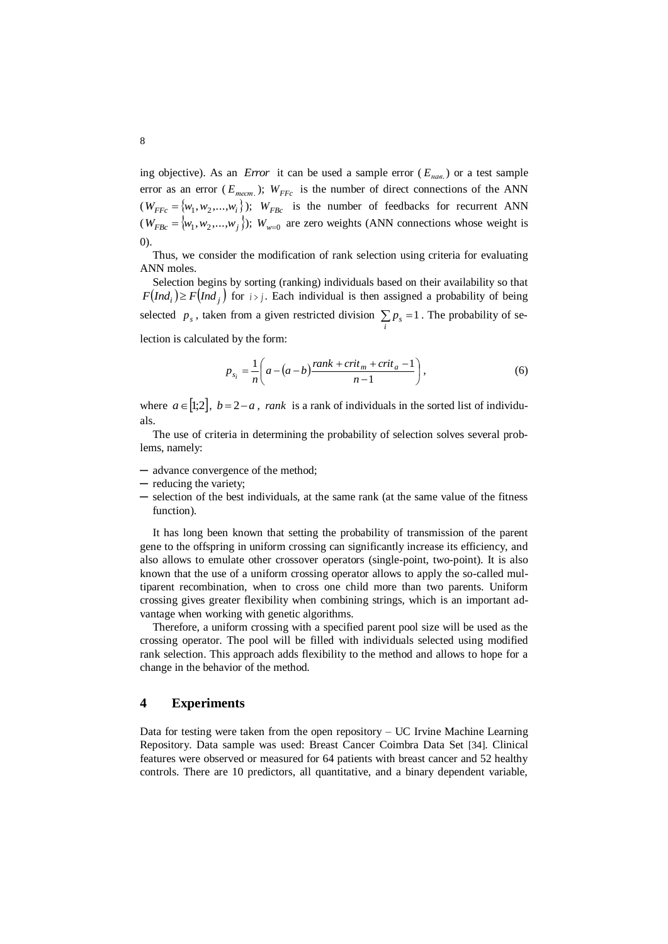ing objective). As an *Error* it can be used a sample error ( *Eнав*. ) or a test sample error as an error ( $E_{mecm}$ );  $W_{FFc}$  is the number of direct connections of the ANN  $(W_{FFc} = \{w_1, w_2,...,w_i\})$ ;  $W_{FBc}$  is the number of feedbacks for recurrent ANN  $(W_{FBC} = \langle w_1, w_2,...,w_j \rangle)$ ;  $W_{w=0}$  are zero weights (ANN connections whose weight is 0).

Thus, we consider the modification of rank selection using criteria for evaluating ANN moles.

Selection begins by sorting (ranking) individuals based on their availability so that  $F(Ind_i) \ge F(Ind_j)$  for  $i > j$ . Each individual is then assigned a probability of being selected  $p_s$ , taken from a given restricted division  $\sum_i p_s = 1$ . The probability of selection is calculated by the form:

$$
p_{s_i} = \frac{1}{n} \left( a - \left( a - b \right) \frac{rank + crit_m + crit_a - 1}{n - 1} \right),\tag{6}
$$

where  $a \in [1,2]$ ,  $b = 2-a$ , *rank* is a rank of individuals in the sorted list of individuals.

The use of criteria in determining the probability of selection solves several problems, namely:

- ─ advance convergence of the method;
- ─ reducing the variety;
- ─ selection of the best individuals, at the same rank (at the same value of the fitness function).

It has long been known that setting the probability of transmission of the parent gene to the offspring in uniform crossing can significantly increase its efficiency, and also allows to emulate other crossover operators (single-point, two-point). It is also known that the use of a uniform crossing operator allows to apply the so-called multiparent recombination, when to cross one child more than two parents. Uniform crossing gives greater flexibility when combining strings, which is an important advantage when working with genetic algorithms.

Therefore, a uniform crossing with a specified parent pool size will be used as the crossing operator. The pool will be filled with individuals selected using modified rank selection. This approach adds flexibility to the method and allows to hope for a change in the behavior of the method.

#### **4 Experiments**

Data for testing were taken from the open repository – UC Irvine Machine Learning Repository. Data sample was used: Breast Cancer Coimbra Data Set [34]. Clinical features were observed or measured for 64 patients with breast cancer and 52 healthy controls. There are 10 predictors, all quantitative, and a binary dependent variable,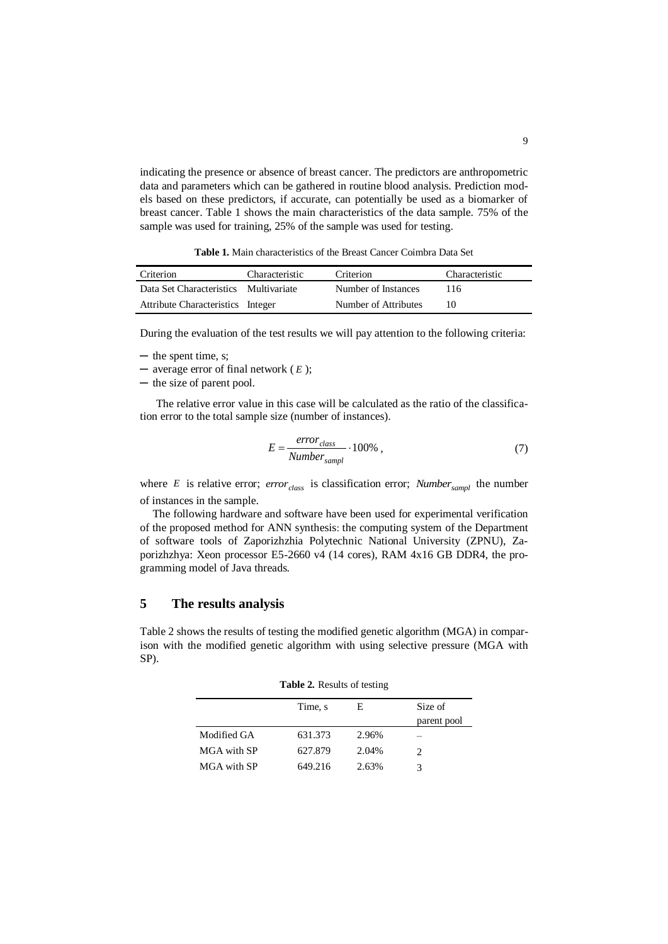indicating the presence or absence of breast cancer. The predictors are anthropometric data and parameters which can be gathered in routine blood analysis. Prediction models based on these predictors, if accurate, can potentially be used as a biomarker of breast cancer. Table 1 shows the main characteristics of the data sample. 75% of the sample was used for training, 25% of the sample was used for testing.

**Table 1.** Main characteristics of the Breast Cancer Coimbra Data Set

| Criterion                             | Characteristic | Criterion            | Characteristic |
|---------------------------------------|----------------|----------------------|----------------|
| Data Set Characteristics Multivariate |                | Number of Instances  | 116            |
| Attribute Characteristics Integer     |                | Number of Attributes | 10.            |

During the evaluation of the test results we will pay attention to the following criteria:

- ─ the spent time, s;
- ─ average error of final network ( *E* );
- ─ the size of parent pool.

The relative error value in this case will be calculated as the ratio of the classification error to the total sample size (number of instances).

$$
E = \frac{error_{class}}{Number_{sampling}} \cdot 100\%,\tag{7}
$$

where *E* is relative error; *error*<sub>class</sub> is classification error; *Number*<sub>sampl</sub> the number of instances in the sample.

The following hardware and software have been used for experimental verification of the proposed method for ANN synthesis: the computing system of the Department of software tools of Zaporizhzhia Polytechnic National University (ZPNU), Zaporizhzhya: Xeon processor E5-2660 v4 (14 cores), RAM 4x16 GB DDR4, the programming model of Java threads.

## **5 The results analysis**

Table 2 shows the results of testing the modified genetic algorithm (MGA) in comparison with the modified genetic algorithm with using selective pressure (MGA with SP).

**Table 2.** Results of testing

|             | Time, s | E     | Size of     |
|-------------|---------|-------|-------------|
|             |         |       | parent pool |
| Modified GA | 631.373 | 2.96% |             |
| MGA with SP | 627.879 | 2.04% |             |
| MGA with SP | 649.216 | 2.63% |             |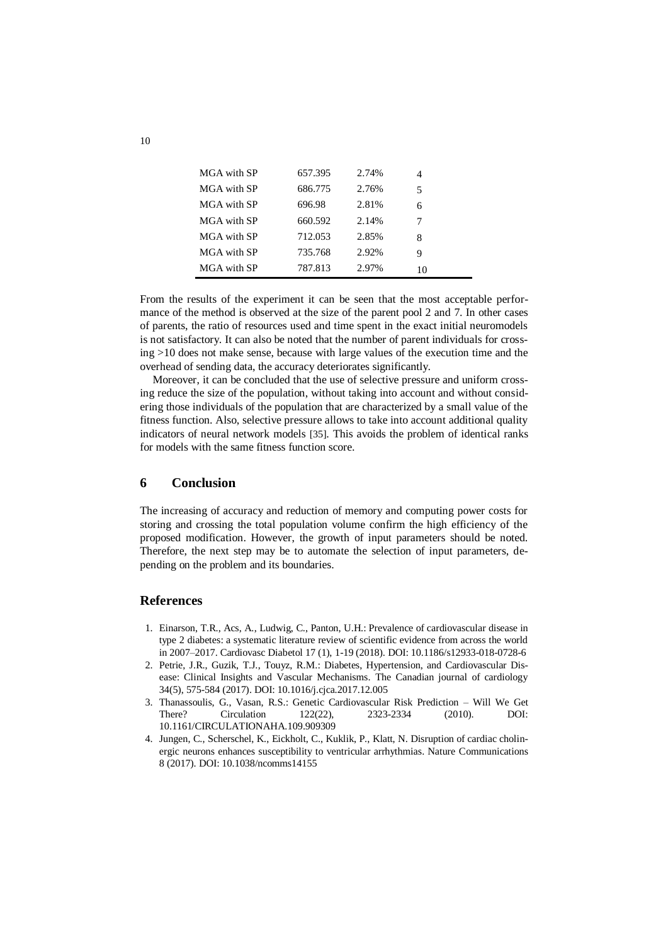| MGA with SP | 657.395 | 2.74% |    |
|-------------|---------|-------|----|
| MGA with SP | 686.775 | 2.76% | 5  |
| MGA with SP | 696.98  | 2.81% | 6  |
| MGA with SP | 660.592 | 2.14% | 7  |
| MGA with SP | 712.053 | 2.85% | 8  |
| MGA with SP | 735.768 | 2.92% | 9  |
| MGA with SP | 787.813 | 2.97% | 10 |

From the results of the experiment it can be seen that the most acceptable performance of the method is observed at the size of the parent pool 2 and 7. In other cases of parents, the ratio of resources used and time spent in the exact initial neuromodels is not satisfactory. It can also be noted that the number of parent individuals for crossing >10 does not make sense, because with large values of the execution time and the overhead of sending data, the accuracy deteriorates significantly.

Moreover, it can be concluded that the use of selective pressure and uniform crossing reduce the size of the population, without taking into account and without considering those individuals of the population that are characterized by a small value of the fitness function. Also, selective pressure allows to take into account additional quality indicators of neural network models [35]. This avoids the problem of identical ranks for models with the same fitness function score.

## **6 Conclusion**

The increasing of accuracy and reduction of memory and computing power costs for storing and crossing the total population volume confirm the high efficiency of the proposed modification. However, the growth of input parameters should be noted. Therefore, the next step may be to automate the selection of input parameters, depending on the problem and its boundaries.

#### **References**

- 1. Einarson, T.R., Acs, A., Ludwig, C., Panton, U.H.: Prevalence of cardiovascular disease in type 2 diabetes: a systematic literature review of scientific evidence from across the world in 2007–2017. Cardiovasc Diabetol 17 (1), 1-19 (2018). DOI: 10.1186/s12933-018-0728-6
- 2. Petrie, J.R., Guzik, T.J., Touyz, R.M.: Diabetes, Hypertension, and Cardiovascular Disease: Clinical Insights and Vascular Mechanisms. The Canadian journal of cardiology 34(5), 575-584 (2017). DOI: 10.1016/j.cjca.2017.12.005
- 3. Thanassoulis, G., Vasan, R.S.: Genetic Cardiovascular Risk Prediction Will We Get There? Circulation 122(22), 2323-2334 (2010). DOI: 10.1161/CIRCULATIONAHA.109.909309
- 4. Jungen, C., Scherschel, K., Eickholt, C., Kuklik, P., Klatt, N. Disruption of cardiac cholinergic neurons enhances susceptibility to ventricular arrhythmias. Nature Communications 8 (2017). DOI: 10.1038/ncomms14155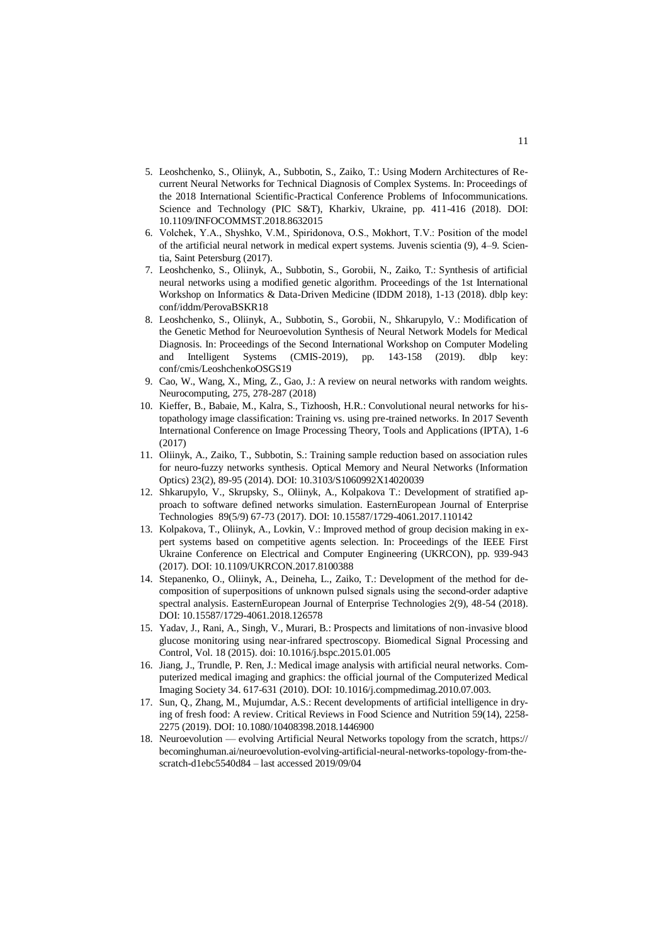- 5. Leoshchenko, S., Oliinyk, A., Subbotin, S., Zaiko, T.: Using Modern Architectures of Recurrent Neural Networks for Technical Diagnosis of Complex Systems. In: Proceedings of the 2018 International Scientific-Practical Conference Problems of Infocommunications. Science and Technology (PIC S&T), Kharkiv, Ukraine, pp. 411-416 (2018). DOI: 10.1109/INFOCOMMST.2018.8632015
- 6. Volchek, Y.A., Shyshko, V.M., Spiridonova, O.S., Mokhort, Т.V.: Position of the model of the artificial neural network in medical expert systems. Juvenis scientia (9), 4–9. Scientia, Saint Petersburg (2017).
- 7. Leoshchenko, S., Oliinyk, A., Subbotin, S., Gorobii, N., Zaiko, T.: Synthesis of artificial neural networks using a modified genetic algorithm. Proceedings of the 1st International Workshop on Informatics & Data-Driven Medicine (IDDM 2018), 1-13 (2018). dblp key: conf/iddm/PerovaBSKR18
- 8. Leoshchenko, S., Oliinyk, A., Subbotin, S., Gorobii, N., Shkarupylo, V.: Modification of the Genetic Method for Neuroevolution Synthesis of Neural Network Models for Medical Diagnosis. In: Proceedings of the Second International Workshop on Computer Modeling and Intelligent Systems (CMIS-2019), pp. 143-158 (2019). dblp key: conf/cmis/LeoshchenkoOSGS19
- 9. Cao, W., Wang, X., Ming, Z., Gao, J.: A review on neural networks with random weights. Neurocomputing, 275, 278-287 (2018)
- 10. Kieffer, B., Babaie, M., Kalra, S., Tizhoosh, H.R.: Convolutional neural networks for histopathology image classification: Training vs. using pre-trained networks. In 2017 Seventh International Conference on Image Processing Theory, Tools and Applications (IPTA), 1-6 (2017)
- 11. Oliinyk, A., Zaiko, T., Subbotin, S.: Training sample reduction based on association rules for neuro-fuzzy networks synthesis. Optical Memory and Neural Networks (Information Optics) 23(2), 89-95 (2014). DOI: 10.3103/S1060992X14020039
- 12. Shkarupylo, V., Skrupsky, S., Oliinyk, A., Kolpakova T.: Development of stratified approach to software defined networks simulation. EasternEuropean Journal of Enterprise Technologies 89(5/9) 67-73 (2017). DOI: 10.15587/1729-4061.2017.110142
- 13. Kolpakova, T., Oliinyk, A., Lovkin, V.: Improved method of group decision making in expert systems based on competitive agents selection. In: Proceedings of the IEEE First Ukraine Conference on Electrical and Computer Engineering (UKRCON), pp. 939-943 (2017). DOI: 10.1109/UKRCON.2017.8100388
- 14. Stepanenko, O., Oliinyk, A., Deineha, L., Zaiko, T.: Development of the method for decomposition of superpositions of unknown pulsed signals using the secondorder adaptive spectral analysis. EasternEuropean Journal of Enterprise Technologies 2(9), 48-54 (2018). DOI: 10.15587/1729-4061.2018.126578
- 15. Yadav, J., Rani, A., Singh, V., Murari, B.: Prospects and limitations of non-invasive blood glucose monitoring using near-infrared spectroscopy. Biomedical Signal Processing and Control, Vol. 18 (2015). doi: 10.1016/j.bspc.2015.01.005
- 16. Jiang, J., Trundle, P. Ren, J.: Medical image analysis with artificial neural networks. Computerized medical imaging and graphics: the official journal of the Computerized Medical Imaging Society 34. 617-631 (2010). DOI: 10.1016/j.compmedimag.2010.07.003.
- 17. Sun, Q., Zhang, M., Mujumdar, A.S.: Recent developments of artificial intelligence in drying of fresh food: A review. Critical Reviews in Food Science and Nutrition 59(14), 2258- 2275 (2019). DOI: 10.1080/10408398.2018.1446900
- 18. Neuroevolution evolving Artificial Neural Networks topology from the scratch, https:// becominghuman.ai/neuroevolution-evolving-artificial-neural-networks-topology-from-thescratch-d1ebc5540d84 – last accessed 2019/09/04